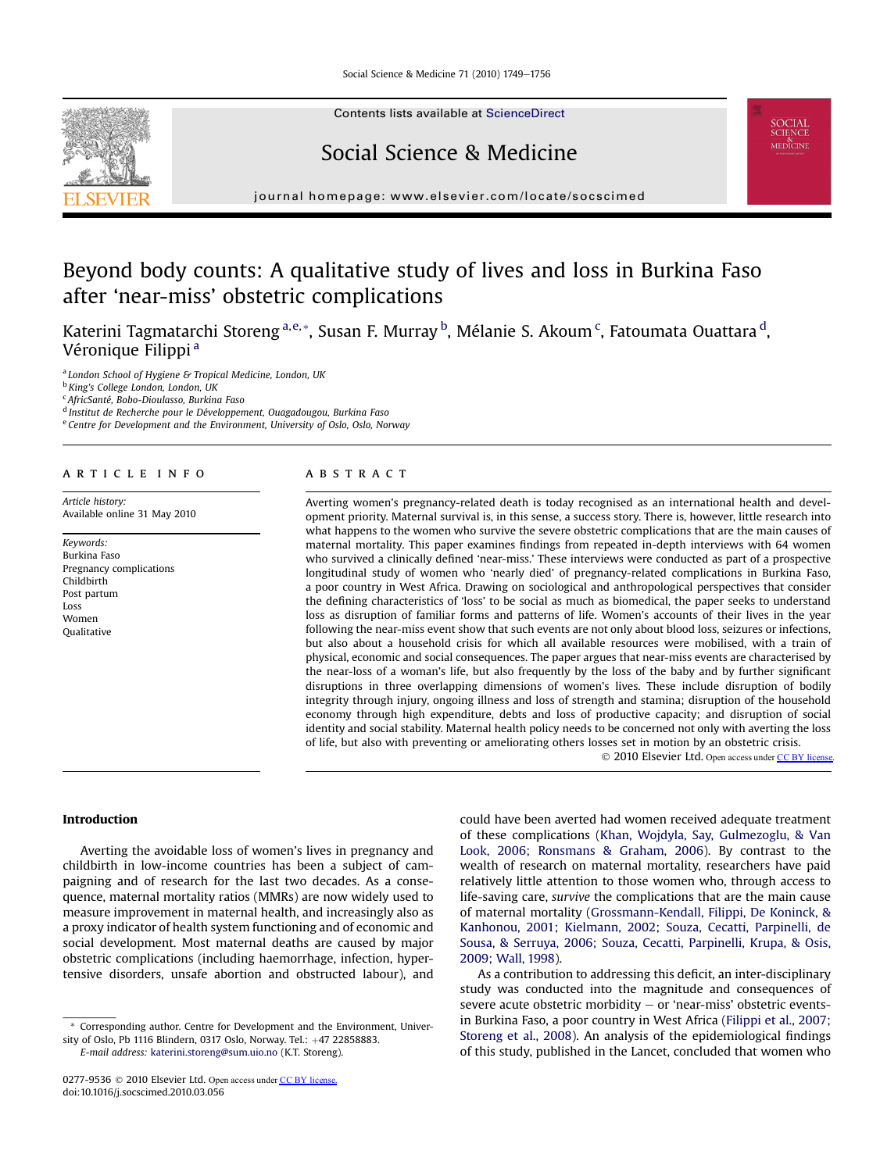

Contents lists available at [ScienceDirect](www.sciencedirect.com/science/journal/02779536)

# Social Science & Medicine



journal homepage: [www.elsevier.com/locate/socscimed](http://www.elsevier.com/locate/socscimed)

# Beyond body counts: A qualitative study of lives and loss in Burkina Faso after 'near-miss' obstetric complications

Katerini Tagmatarchi Storeng<sup>a,e,</sup>\*, Susan F. Murray <sup>b</sup>, Mélanie S. Akoum <sup>c</sup>, Fatoumata Ouattara <sup>d</sup>, Véronique Filippi<sup>a</sup>

a London School of Hygiene & Tropical Medicine, London, UK

<sup>b</sup> King's College London, London, UK

<sup>c</sup> AfricSanté, Bobo-Dioulasso, Burkina Faso

 $^{\rm d}$  Institut de Recherche pour le Développement, Ouagadougou, Burkina Faso

e Centre for Development and the Environment, University of Oslo, Oslo, Norway

# article info

Article history: Available online 31 May 2010

Keywords: Burkina Faso Pregnancy complications Childbirth Post partum Loss Women Qualitative

# ABSTRACT

Averting women's pregnancy-related death is today recognised as an international health and development priority. Maternal survival is, in this sense, a success story. There is, however, little research into what happens to the women who survive the severe obstetric complications that are the main causes of maternal mortality. This paper examines findings from repeated in-depth interviews with 64 women who survived a clinically defined 'near-miss.' These interviews were conducted as part of a prospective longitudinal study of women who 'nearly died' of pregnancy-related complications in Burkina Faso, a poor country in West Africa. Drawing on sociological and anthropological perspectives that consider the defining characteristics of 'loss' to be social as much as biomedical, the paper seeks to understand loss as disruption of familiar forms and patterns of life. Women's accounts of their lives in the year following the near-miss event show that such events are not only about blood loss, seizures or infections, but also about a household crisis for which all available resources were mobilised, with a train of physical, economic and social consequences. The paper argues that near-miss events are characterised by the near-loss of a woman's life, but also frequently by the loss of the baby and by further significant disruptions in three overlapping dimensions of women's lives. These include disruption of bodily integrity through injury, ongoing illness and loss of strength and stamina; disruption of the household economy through high expenditure, debts and loss of productive capacity; and disruption of social identity and social stability. Maternal health policy needs to be concerned not only with averting the loss of life, but also with preventing or ameliorating others losses set in motion by an obstetric crisis.

© 2010 Elsevier Ltd. Open access under [CC BY license.](http://creativecommons.org/licenses/by/3.0/)

# Introduction

Averting the avoidable loss of women's lives in pregnancy and childbirth in low-income countries has been a subject of campaigning and of research for the last two decades. As a consequence, maternal mortality ratios (MMRs) are now widely used to measure improvement in maternal health, and increasingly also as a proxy indicator of health system functioning and of economic and social development. Most maternal deaths are caused by major obstetric complications (including haemorrhage, infection, hypertensive disorders, unsafe abortion and obstructed labour), and

could have been averted had women received adequate treatment of these complications [\(Khan, Wojdyla, Say, Gulmezoglu, & Van](#page-6-0) [Look, 2006; Ronsmans & Graham, 2006](#page-6-0)). By contrast to the wealth of research on maternal mortality, researchers have paid relatively little attention to those women who, through access to life-saving care, survive the complications that are the main cause of maternal mortality [\(Grossmann-Kendall, Filippi, De Koninck, &](#page-6-0) [Kanhonou, 2001; Kielmann, 2002; Souza, Cecatti, Parpinelli, de](#page-6-0) [Sousa, & Serruya, 2006; Souza, Cecatti, Parpinelli, Krupa, & Osis,](#page-6-0) [2009; Wall, 1998\)](#page-6-0).

As a contribution to addressing this deficit, an inter-disciplinary study was conducted into the magnitude and consequences of severe acute obstetric morbidity  $-$  or 'near-miss' obstetric eventsin Burkina Faso, a poor country in West Africa ([Filippi et al., 2007;](#page-6-0) [Storeng et al., 2008](#page-6-0)). An analysis of the epidemiological findings of this study, published in the Lancet, concluded that women who

Corresponding author. Centre for Development and the Environment, University of Oslo, Pb 1116 Blindern, 0317 Oslo, Norway. Tel.: +47 22858883.

E-mail address: [katerini.storeng@sum.uio.no](mailto:katerini.storeng@sum.uio.no) (K.T. Storeng).

<sup>0277-9536 © 2010</sup> Elsevier Ltd. Open access under [CC BY license.](http://creativecommons.org/licenses/by/3.0/) doi:10.1016/j.socscimed.2010.03.056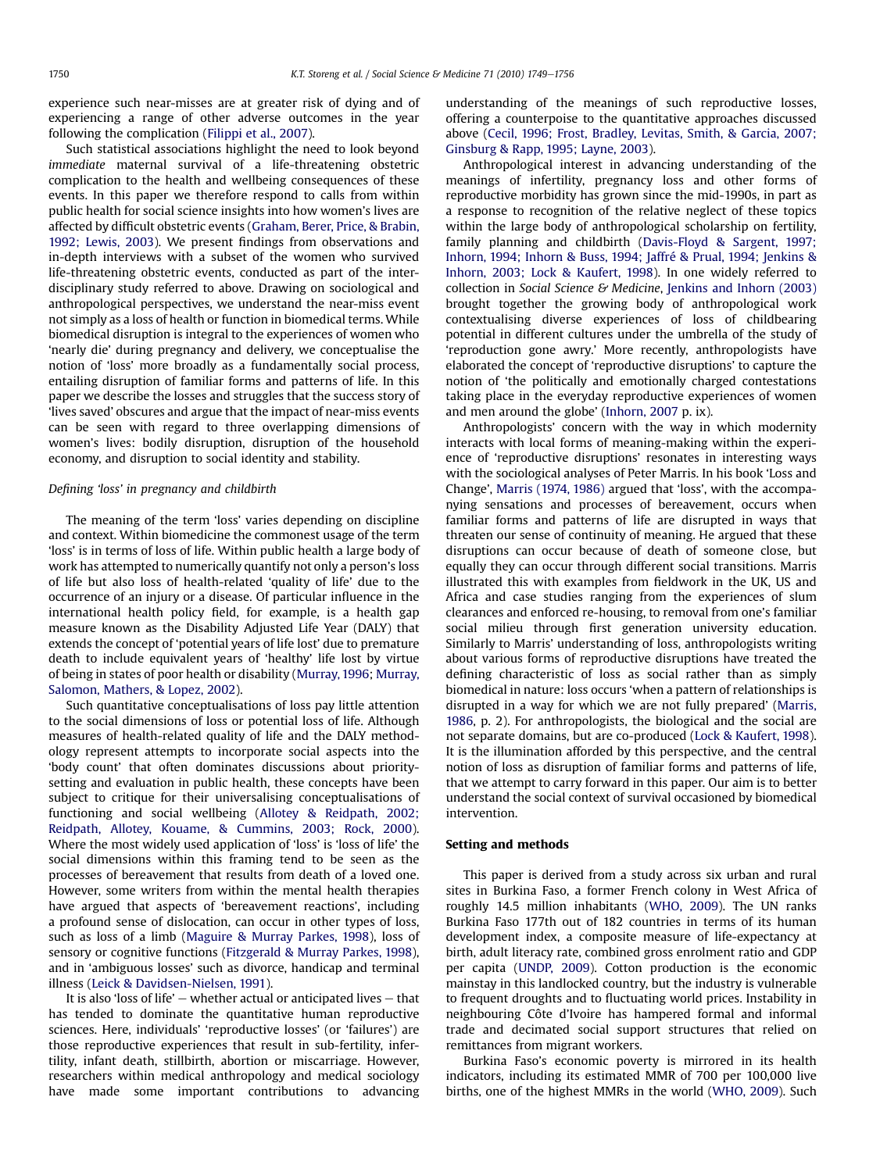experience such near-misses are at greater risk of dying and of experiencing a range of other adverse outcomes in the year following the complication [\(Filippi et al., 2007](#page-6-0)).

Such statistical associations highlight the need to look beyond immediate maternal survival of a life-threatening obstetric complication to the health and wellbeing consequences of these events. In this paper we therefore respond to calls from within public health for social science insights into how women's lives are affected by difficult obstetric events ([Graham, Berer, Price, & Brabin,](#page-6-0) [1992; Lewis, 2003](#page-6-0)). We present findings from observations and in-depth interviews with a subset of the women who survived life-threatening obstetric events, conducted as part of the interdisciplinary study referred to above. Drawing on sociological and anthropological perspectives, we understand the near-miss event not simply as a loss of health or function in biomedical terms. While biomedical disruption is integral to the experiences of women who 'nearly die' during pregnancy and delivery, we conceptualise the notion of 'loss' more broadly as a fundamentally social process, entailing disruption of familiar forms and patterns of life. In this paper we describe the losses and struggles that the success story of 'lives saved' obscures and argue that the impact of near-miss events can be seen with regard to three overlapping dimensions of women's lives: bodily disruption, disruption of the household economy, and disruption to social identity and stability.

## Defining 'loss' in pregnancy and childbirth

The meaning of the term 'loss' varies depending on discipline and context. Within biomedicine the commonest usage of the term 'loss' is in terms of loss of life. Within public health a large body of work has attempted to numerically quantify not only a person's loss of life but also loss of health-related 'quality of life' due to the occurrence of an injury or a disease. Of particular influence in the international health policy field, for example, is a health gap measure known as the Disability Adjusted Life Year (DALY) that extends the concept of 'potential years of life lost' due to premature death to include equivalent years of 'healthy' life lost by virtue of being in states of poor health or disability ([Murray, 1996;](#page-7-0) [Murray,](#page-7-0) [Salomon, Mathers, & Lopez, 2002](#page-7-0)).

Such quantitative conceptualisations of loss pay little attention to the social dimensions of loss or potential loss of life. Although measures of health-related quality of life and the DALY methodology represent attempts to incorporate social aspects into the 'body count' that often dominates discussions about prioritysetting and evaluation in public health, these concepts have been subject to critique for their universalising conceptualisations of functioning and social wellbeing ([Allotey & Reidpath, 2002;](#page-6-0) [Reidpath, Allotey, Kouame, & Cummins, 2003; Rock, 2000\)](#page-6-0). Where the most widely used application of 'loss' is 'loss of life' the social dimensions within this framing tend to be seen as the processes of bereavement that results from death of a loved one. However, some writers from within the mental health therapies have argued that aspects of 'bereavement reactions', including a profound sense of dislocation, can occur in other types of loss, such as loss of a limb [\(Maguire & Murray Parkes, 1998\)](#page-6-0), loss of sensory or cognitive functions [\(Fitzgerald & Murray Parkes, 1998\)](#page-6-0), and in 'ambiguous losses' such as divorce, handicap and terminal illness [\(Leick & Davidsen-Nielsen, 1991](#page-6-0)).

It is also 'loss of life'  $-$  whether actual or anticipated lives  $-$  that has tended to dominate the quantitative human reproductive sciences. Here, individuals' 'reproductive losses' (or 'failures') are those reproductive experiences that result in sub-fertility, infertility, infant death, stillbirth, abortion or miscarriage. However, researchers within medical anthropology and medical sociology have made some important contributions to advancing understanding of the meanings of such reproductive losses, offering a counterpoise to the quantitative approaches discussed above [\(Cecil, 1996; Frost, Bradley, Levitas, Smith, & Garcia, 2007;](#page-6-0) [Ginsburg & Rapp, 1995; Layne, 2003](#page-6-0)).

Anthropological interest in advancing understanding of the meanings of infertility, pregnancy loss and other forms of reproductive morbidity has grown since the mid-1990s, in part as a response to recognition of the relative neglect of these topics within the large body of anthropological scholarship on fertility, family planning and childbirth [\(Davis-Floyd & Sargent, 1997;](#page-6-0) [Inhorn, 1994; Inhorn & Buss, 1994; Jaffré & Prual, 1994; Jenkins &](#page-6-0) [Inhorn, 2003; Lock & Kaufert, 1998](#page-6-0)). In one widely referred to collection in Social Science & Medicine, [Jenkins and Inhorn \(2003\)](#page-6-0) brought together the growing body of anthropological work contextualising diverse experiences of loss of childbearing potential in different cultures under the umbrella of the study of 'reproduction gone awry.' More recently, anthropologists have elaborated the concept of 'reproductive disruptions' to capture the notion of 'the politically and emotionally charged contestations taking place in the everyday reproductive experiences of women and men around the globe' [\(Inhorn, 2007](#page-6-0) p. ix).

Anthropologists' concern with the way in which modernity interacts with local forms of meaning-making within the experience of 'reproductive disruptions' resonates in interesting ways with the sociological analyses of Peter Marris. In his book 'Loss and Change', [Marris \(1974, 1986\)](#page-6-0) argued that 'loss', with the accompanying sensations and processes of bereavement, occurs when familiar forms and patterns of life are disrupted in ways that threaten our sense of continuity of meaning. He argued that these disruptions can occur because of death of someone close, but equally they can occur through different social transitions. Marris illustrated this with examples from fieldwork in the UK, US and Africa and case studies ranging from the experiences of slum clearances and enforced re-housing, to removal from one's familiar social milieu through first generation university education. Similarly to Marris' understanding of loss, anthropologists writing about various forms of reproductive disruptions have treated the defining characteristic of loss as social rather than as simply biomedical in nature: loss occurs 'when a pattern of relationships is disrupted in a way for which we are not fully prepared' [\(Marris,](#page-6-0) [1986](#page-6-0), p. 2). For anthropologists, the biological and the social are not separate domains, but are co-produced [\(Lock & Kaufert, 1998\)](#page-6-0). It is the illumination afforded by this perspective, and the central notion of loss as disruption of familiar forms and patterns of life, that we attempt to carry forward in this paper. Our aim is to better understand the social context of survival occasioned by biomedical intervention.

### Setting and methods

This paper is derived from a study across six urban and rural sites in Burkina Faso, a former French colony in West Africa of roughly 14.5 million inhabitants [\(WHO, 2009](#page-7-0)). The UN ranks Burkina Faso 177th out of 182 countries in terms of its human development index, a composite measure of life-expectancy at birth, adult literacy rate, combined gross enrolment ratio and GDP per capita ([UNDP, 2009](#page-7-0)). Cotton production is the economic mainstay in this landlocked country, but the industry is vulnerable to frequent droughts and to fluctuating world prices. Instability in neighbouring Côte d'Ivoire has hampered formal and informal trade and decimated social support structures that relied on remittances from migrant workers.

Burkina Faso's economic poverty is mirrored in its health indicators, including its estimated MMR of 700 per 100,000 live births, one of the highest MMRs in the world [\(WHO, 2009](#page-7-0)). Such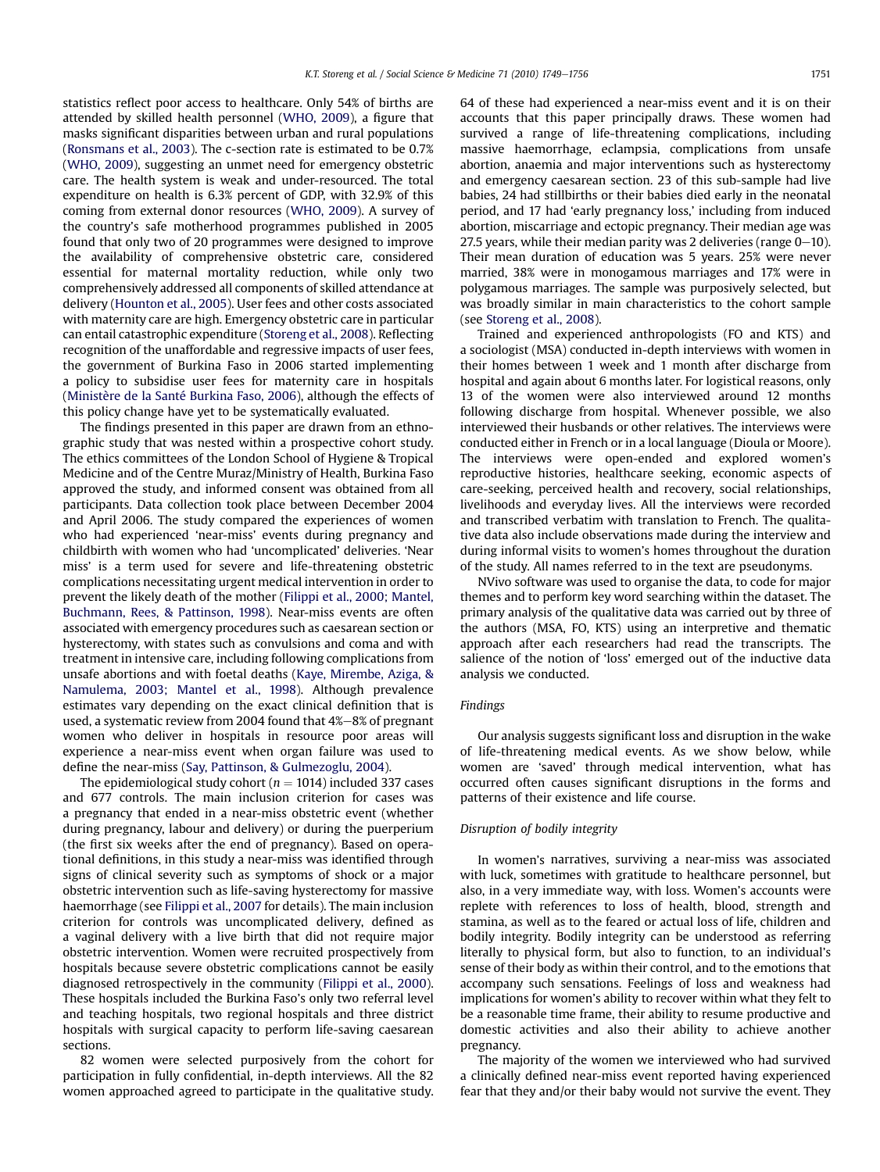statistics reflect poor access to healthcare. Only 54% of births are attended by skilled health personnel ([WHO, 2009\)](#page-7-0), a figure that masks significant disparities between urban and rural populations ([Ronsmans et al., 2003\)](#page-7-0). The c-section rate is estimated to be 0.7% ([WHO, 2009](#page-7-0)), suggesting an unmet need for emergency obstetric care. The health system is weak and under-resourced. The total expenditure on health is 6.3% percent of GDP, with 32.9% of this coming from external donor resources ([WHO, 2009\)](#page-7-0). A survey of the country's safe motherhood programmes published in 2005 found that only two of 20 programmes were designed to improve the availability of comprehensive obstetric care, considered essential for maternal mortality reduction, while only two comprehensively addressed all components of skilled attendance at delivery ([Hounton et al., 2005\)](#page-6-0). User fees and other costs associated with maternity care are high. Emergency obstetric care in particular can entail catastrophic expenditure ([Storeng et al., 2008\)](#page-7-0). Reflecting recognition of the unaffordable and regressive impacts of user fees, the government of Burkina Faso in 2006 started implementing a policy to subsidise user fees for maternity care in hospitals ([Ministère de la Santé Burkina Faso, 2006\)](#page-7-0), although the effects of this policy change have yet to be systematically evaluated.

The findings presented in this paper are drawn from an ethnographic study that was nested within a prospective cohort study. The ethics committees of the London School of Hygiene & Tropical Medicine and of the Centre Muraz/Ministry of Health, Burkina Faso approved the study, and informed consent was obtained from all participants. Data collection took place between December 2004 and April 2006. The study compared the experiences of women who had experienced 'near-miss' events during pregnancy and childbirth with women who had 'uncomplicated' deliveries. 'Near miss' is a term used for severe and life-threatening obstetric complications necessitating urgent medical intervention in order to prevent the likely death of the mother [\(Filippi et al., 2000; Mantel,](#page-6-0) [Buchmann, Rees, & Pattinson, 1998\)](#page-6-0). Near-miss events are often associated with emergency procedures such as caesarean section or hysterectomy, with states such as convulsions and coma and with treatment in intensive care, including following complications from unsafe abortions and with foetal deaths ([Kaye, Mirembe, Aziga, &](#page-6-0) [Namulema, 2003; Mantel et al., 1998\)](#page-6-0). Although prevalence estimates vary depending on the exact clinical definition that is used, a systematic review from 2004 found that 4%-8% of pregnant women who deliver in hospitals in resource poor areas will experience a near-miss event when organ failure was used to define the near-miss [\(Say, Pattinson, & Gulmezoglu, 2004](#page-7-0)).

The epidemiological study cohort ( $n = 1014$ ) included 337 cases and 677 controls. The main inclusion criterion for cases was a pregnancy that ended in a near-miss obstetric event (whether during pregnancy, labour and delivery) or during the puerperium (the first six weeks after the end of pregnancy). Based on operational definitions, in this study a near-miss was identified through signs of clinical severity such as symptoms of shock or a major obstetric intervention such as life-saving hysterectomy for massive haemorrhage (see [Filippi et al., 2007](#page-6-0) for details). The main inclusion criterion for controls was uncomplicated delivery, defined as a vaginal delivery with a live birth that did not require major obstetric intervention. Women were recruited prospectively from hospitals because severe obstetric complications cannot be easily diagnosed retrospectively in the community ([Filippi et al., 2000\)](#page-6-0). These hospitals included the Burkina Faso's only two referral level and teaching hospitals, two regional hospitals and three district hospitals with surgical capacity to perform life-saving caesarean sections.

82 women were selected purposively from the cohort for participation in fully confidential, in-depth interviews. All the 82 women approached agreed to participate in the qualitative study. 64 of these had experienced a near-miss event and it is on their accounts that this paper principally draws. These women had survived a range of life-threatening complications, including massive haemorrhage, eclampsia, complications from unsafe abortion, anaemia and major interventions such as hysterectomy and emergency caesarean section. 23 of this sub-sample had live babies, 24 had stillbirths or their babies died early in the neonatal period, and 17 had 'early pregnancy loss,' including from induced abortion, miscarriage and ectopic pregnancy. Their median age was 27.5 years, while their median parity was 2 deliveries (range  $0-10$ ). Their mean duration of education was 5 years. 25% were never married, 38% were in monogamous marriages and 17% were in polygamous marriages. The sample was purposively selected, but was broadly similar in main characteristics to the cohort sample (see [Storeng et al., 2008](#page-7-0)).

Trained and experienced anthropologists (FO and KTS) and a sociologist (MSA) conducted in-depth interviews with women in their homes between 1 week and 1 month after discharge from hospital and again about 6 months later. For logistical reasons, only 13 of the women were also interviewed around 12 months following discharge from hospital. Whenever possible, we also interviewed their husbands or other relatives. The interviews were conducted either in French or in a local language (Dioula or Moore). The interviews were open-ended and explored women's reproductive histories, healthcare seeking, economic aspects of care-seeking, perceived health and recovery, social relationships, livelihoods and everyday lives. All the interviews were recorded and transcribed verbatim with translation to French. The qualitative data also include observations made during the interview and during informal visits to women's homes throughout the duration of the study. All names referred to in the text are pseudonyms.

NVivo software was used to organise the data, to code for major themes and to perform key word searching within the dataset. The primary analysis of the qualitative data was carried out by three of the authors (MSA, FO, KTS) using an interpretive and thematic approach after each researchers had read the transcripts. The salience of the notion of 'loss' emerged out of the inductive data analysis we conducted.

# Findings

Our analysis suggests significant loss and disruption in the wake of life-threatening medical events. As we show below, while women are 'saved' through medical intervention, what has occurred often causes significant disruptions in the forms and patterns of their existence and life course.

# Disruption of bodily integrity

In women's narratives, surviving a near-miss was associated with luck, sometimes with gratitude to healthcare personnel, but also, in a very immediate way, with loss. Women's accounts were replete with references to loss of health, blood, strength and stamina, as well as to the feared or actual loss of life, children and bodily integrity. Bodily integrity can be understood as referring literally to physical form, but also to function, to an individual's sense of their body as within their control, and to the emotions that accompany such sensations. Feelings of loss and weakness had implications for women's ability to recover within what they felt to be a reasonable time frame, their ability to resume productive and domestic activities and also their ability to achieve another pregnancy.

The majority of the women we interviewed who had survived a clinically defined near-miss event reported having experienced fear that they and/or their baby would not survive the event. They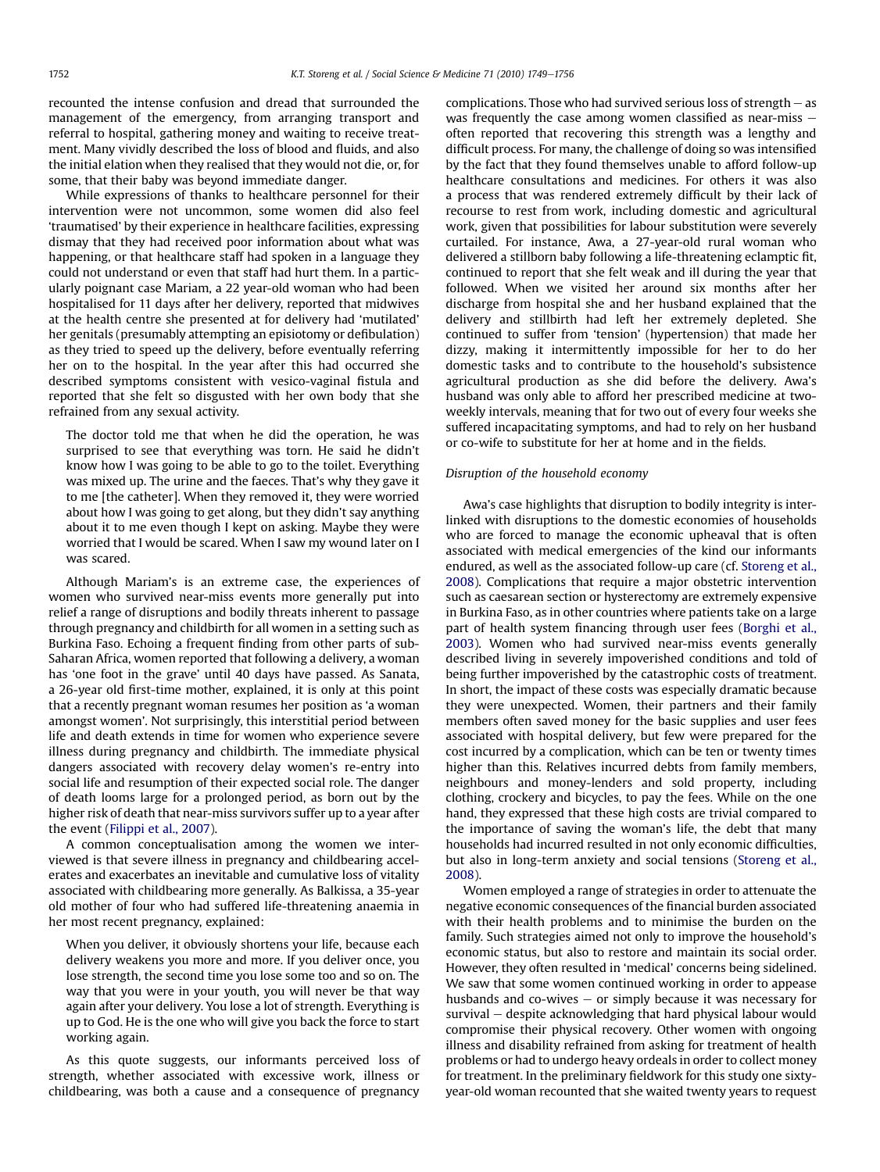recounted the intense confusion and dread that surrounded the management of the emergency, from arranging transport and referral to hospital, gathering money and waiting to receive treatment. Many vividly described the loss of blood and fluids, and also the initial elation when they realised that they would not die, or, for some, that their baby was beyond immediate danger.

While expressions of thanks to healthcare personnel for their intervention were not uncommon, some women did also feel 'traumatised' by their experience in healthcare facilities, expressing dismay that they had received poor information about what was happening, or that healthcare staff had spoken in a language they could not understand or even that staff had hurt them. In a particularly poignant case Mariam, a 22 year-old woman who had been hospitalised for 11 days after her delivery, reported that midwives at the health centre she presented at for delivery had 'mutilated' her genitals (presumably attempting an episiotomy or defibulation) as they tried to speed up the delivery, before eventually referring her on to the hospital. In the year after this had occurred she described symptoms consistent with vesico-vaginal fistula and reported that she felt so disgusted with her own body that she refrained from any sexual activity.

The doctor told me that when he did the operation, he was surprised to see that everything was torn. He said he didn't know how I was going to be able to go to the toilet. Everything was mixed up. The urine and the faeces. That's why they gave it to me [the catheter]. When they removed it, they were worried about how I was going to get along, but they didn't say anything about it to me even though I kept on asking. Maybe they were worried that I would be scared. When I saw my wound later on I was scared.

Although Mariam's is an extreme case, the experiences of women who survived near-miss events more generally put into relief a range of disruptions and bodily threats inherent to passage through pregnancy and childbirth for all women in a setting such as Burkina Faso. Echoing a frequent finding from other parts of sub-Saharan Africa, women reported that following a delivery, a woman has 'one foot in the grave' until 40 days have passed. As Sanata, a 26-year old first-time mother, explained, it is only at this point that a recently pregnant woman resumes her position as 'a woman amongst women'. Not surprisingly, this interstitial period between life and death extends in time for women who experience severe illness during pregnancy and childbirth. The immediate physical dangers associated with recovery delay women's re-entry into social life and resumption of their expected social role. The danger of death looms large for a prolonged period, as born out by the higher risk of death that near-miss survivors suffer up to a year after the event [\(Filippi et al., 2007](#page-6-0)).

A common conceptualisation among the women we interviewed is that severe illness in pregnancy and childbearing accelerates and exacerbates an inevitable and cumulative loss of vitality associated with childbearing more generally. As Balkissa, a 35-year old mother of four who had suffered life-threatening anaemia in her most recent pregnancy, explained:

When you deliver, it obviously shortens your life, because each delivery weakens you more and more. If you deliver once, you lose strength, the second time you lose some too and so on. The way that you were in your youth, you will never be that way again after your delivery. You lose a lot of strength. Everything is up to God. He is the one who will give you back the force to start working again.

As this quote suggests, our informants perceived loss of strength, whether associated with excessive work, illness or childbearing, was both a cause and a consequence of pregnancy complications. Those who had survived serious loss of strength  $-$  as was frequently the case among women classified as near-miss  $$ often reported that recovering this strength was a lengthy and difficult process. For many, the challenge of doing so was intensified by the fact that they found themselves unable to afford follow-up healthcare consultations and medicines. For others it was also a process that was rendered extremely difficult by their lack of recourse to rest from work, including domestic and agricultural work, given that possibilities for labour substitution were severely curtailed. For instance, Awa, a 27-year-old rural woman who delivered a stillborn baby following a life-threatening eclamptic fit, continued to report that she felt weak and ill during the year that followed. When we visited her around six months after her discharge from hospital she and her husband explained that the delivery and stillbirth had left her extremely depleted. She continued to suffer from 'tension' (hypertension) that made her dizzy, making it intermittently impossible for her to do her domestic tasks and to contribute to the household's subsistence agricultural production as she did before the delivery. Awa's husband was only able to afford her prescribed medicine at twoweekly intervals, meaning that for two out of every four weeks she suffered incapacitating symptoms, and had to rely on her husband or co-wife to substitute for her at home and in the fields.

## Disruption of the household economy

Awa's case highlights that disruption to bodily integrity is interlinked with disruptions to the domestic economies of households who are forced to manage the economic upheaval that is often associated with medical emergencies of the kind our informants endured, as well as the associated follow-up care (cf. [Storeng et al.,](#page-7-0) [2008](#page-7-0)). Complications that require a major obstetric intervention such as caesarean section or hysterectomy are extremely expensive in Burkina Faso, as in other countries where patients take on a large part of health system financing through user fees [\(Borghi et al.,](#page-6-0) [2003](#page-6-0)). Women who had survived near-miss events generally described living in severely impoverished conditions and told of being further impoverished by the catastrophic costs of treatment. In short, the impact of these costs was especially dramatic because they were unexpected. Women, their partners and their family members often saved money for the basic supplies and user fees associated with hospital delivery, but few were prepared for the cost incurred by a complication, which can be ten or twenty times higher than this. Relatives incurred debts from family members, neighbours and money-lenders and sold property, including clothing, crockery and bicycles, to pay the fees. While on the one hand, they expressed that these high costs are trivial compared to the importance of saving the woman's life, the debt that many households had incurred resulted in not only economic difficulties, but also in long-term anxiety and social tensions ([Storeng et al.,](#page-7-0) [2008](#page-7-0)).

Women employed a range of strategies in order to attenuate the negative economic consequences of the financial burden associated with their health problems and to minimise the burden on the family. Such strategies aimed not only to improve the household's economic status, but also to restore and maintain its social order. However, they often resulted in 'medical' concerns being sidelined. We saw that some women continued working in order to appease husbands and co-wives  $-$  or simply because it was necessary for survival – despite acknowledging that hard physical labour would compromise their physical recovery. Other women with ongoing illness and disability refrained from asking for treatment of health problems or had to undergo heavy ordeals in order to collect money for treatment. In the preliminary fieldwork for this study one sixtyyear-old woman recounted that she waited twenty years to request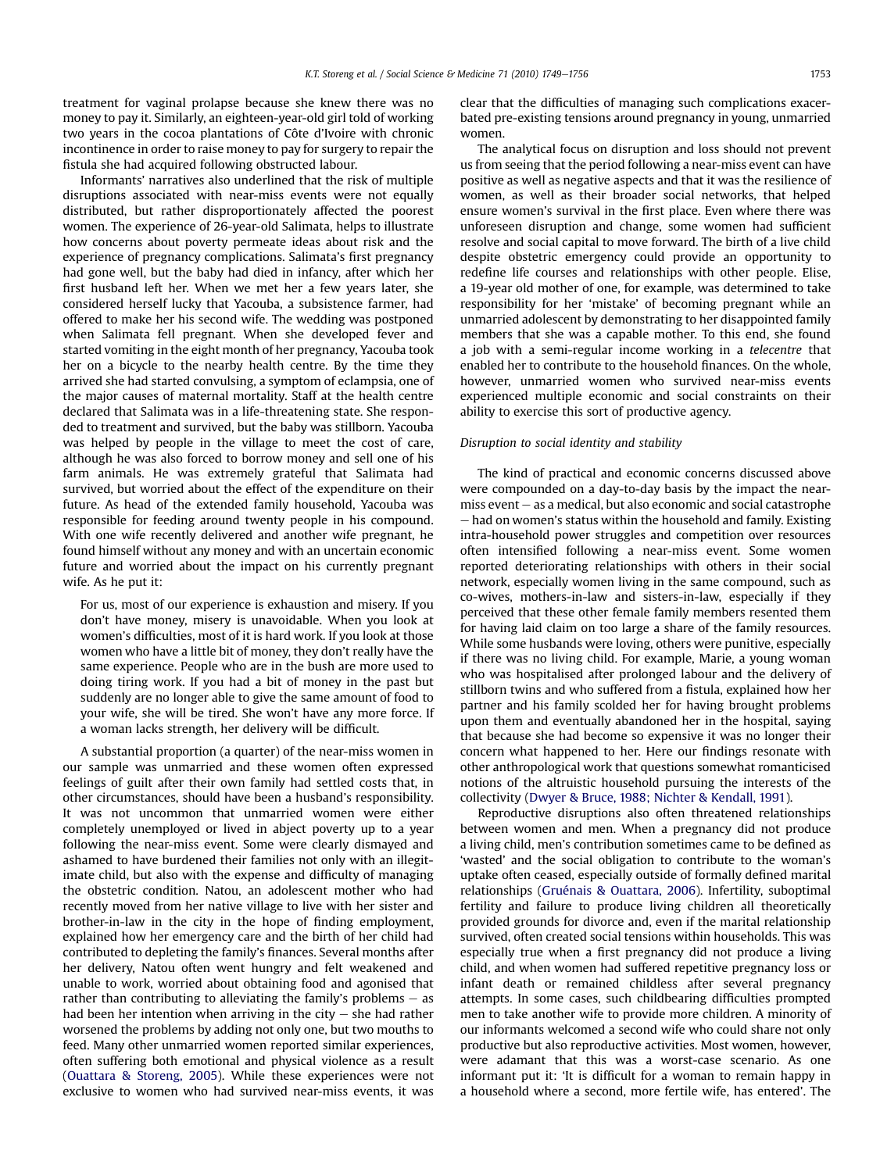treatment for vaginal prolapse because she knew there was no money to pay it. Similarly, an eighteen-year-old girl told of working two years in the cocoa plantations of Côte d'Ivoire with chronic incontinence in order to raise money to pay for surgery to repair the fistula she had acquired following obstructed labour.

Informants' narratives also underlined that the risk of multiple disruptions associated with near-miss events were not equally distributed, but rather disproportionately affected the poorest women. The experience of 26-year-old Salimata, helps to illustrate how concerns about poverty permeate ideas about risk and the experience of pregnancy complications. Salimata's first pregnancy had gone well, but the baby had died in infancy, after which her first husband left her. When we met her a few years later, she considered herself lucky that Yacouba, a subsistence farmer, had offered to make her his second wife. The wedding was postponed when Salimata fell pregnant. When she developed fever and started vomiting in the eight month of her pregnancy, Yacouba took her on a bicycle to the nearby health centre. By the time they arrived she had started convulsing, a symptom of eclampsia, one of the major causes of maternal mortality. Staff at the health centre declared that Salimata was in a life-threatening state. She responded to treatment and survived, but the baby was stillborn. Yacouba was helped by people in the village to meet the cost of care, although he was also forced to borrow money and sell one of his farm animals. He was extremely grateful that Salimata had survived, but worried about the effect of the expenditure on their future. As head of the extended family household, Yacouba was responsible for feeding around twenty people in his compound. With one wife recently delivered and another wife pregnant, he found himself without any money and with an uncertain economic future and worried about the impact on his currently pregnant wife. As he put it:

For us, most of our experience is exhaustion and misery. If you don't have money, misery is unavoidable. When you look at women's difficulties, most of it is hard work. If you look at those women who have a little bit of money, they don't really have the same experience. People who are in the bush are more used to doing tiring work. If you had a bit of money in the past but suddenly are no longer able to give the same amount of food to your wife, she will be tired. She won't have any more force. If a woman lacks strength, her delivery will be difficult.

A substantial proportion (a quarter) of the near-miss women in our sample was unmarried and these women often expressed feelings of guilt after their own family had settled costs that, in other circumstances, should have been a husband's responsibility. It was not uncommon that unmarried women were either completely unemployed or lived in abject poverty up to a year following the near-miss event. Some were clearly dismayed and ashamed to have burdened their families not only with an illegitimate child, but also with the expense and difficulty of managing the obstetric condition. Natou, an adolescent mother who had recently moved from her native village to live with her sister and brother-in-law in the city in the hope of finding employment, explained how her emergency care and the birth of her child had contributed to depleting the family's finances. Several months after her delivery, Natou often went hungry and felt weakened and unable to work, worried about obtaining food and agonised that rather than contributing to alleviating the family's problems  $-$  as had been her intention when arriving in the city  $-$  she had rather worsened the problems by adding not only one, but two mouths to feed. Many other unmarried women reported similar experiences, often suffering both emotional and physical violence as a result ([Ouattara & Storeng, 2005](#page-7-0)). While these experiences were not exclusive to women who had survived near-miss events, it was clear that the difficulties of managing such complications exacerbated pre-existing tensions around pregnancy in young, unmarried women.

The analytical focus on disruption and loss should not prevent us from seeing that the period following a near-miss event can have positive as well as negative aspects and that it was the resilience of women, as well as their broader social networks, that helped ensure women's survival in the first place. Even where there was unforeseen disruption and change, some women had sufficient resolve and social capital to move forward. The birth of a live child despite obstetric emergency could provide an opportunity to redefine life courses and relationships with other people. Elise, a 19-year old mother of one, for example, was determined to take responsibility for her 'mistake' of becoming pregnant while an unmarried adolescent by demonstrating to her disappointed family members that she was a capable mother. To this end, she found a job with a semi-regular income working in a telecentre that enabled her to contribute to the household finances. On the whole, however, unmarried women who survived near-miss events experienced multiple economic and social constraints on their ability to exercise this sort of productive agency.

#### Disruption to social identity and stability

The kind of practical and economic concerns discussed above were compounded on a day-to-day basis by the impact the near $m$ iss event  $-$  as a medical, but also economic and social catastrophe  $-$  had on women's status within the household and family. Existing intra-household power struggles and competition over resources often intensified following a near-miss event. Some women reported deteriorating relationships with others in their social network, especially women living in the same compound, such as co-wives, mothers-in-law and sisters-in-law, especially if they perceived that these other female family members resented them for having laid claim on too large a share of the family resources. While some husbands were loving, others were punitive, especially if there was no living child. For example, Marie, a young woman who was hospitalised after prolonged labour and the delivery of stillborn twins and who suffered from a fistula, explained how her partner and his family scolded her for having brought problems upon them and eventually abandoned her in the hospital, saying that because she had become so expensive it was no longer their concern what happened to her. Here our findings resonate with other anthropological work that questions somewhat romanticised notions of the altruistic household pursuing the interests of the collectivity [\(Dwyer & Bruce, 1988; Nichter & Kendall, 1991\)](#page-6-0).

Reproductive disruptions also often threatened relationships between women and men. When a pregnancy did not produce a living child, men's contribution sometimes came to be defined as 'wasted' and the social obligation to contribute to the woman's uptake often ceased, especially outside of formally defined marital relationships [\(Gruénais & Ouattara, 2006\)](#page-6-0). Infertility, suboptimal fertility and failure to produce living children all theoretically provided grounds for divorce and, even if the marital relationship survived, often created social tensions within households. This was especially true when a first pregnancy did not produce a living child, and when women had suffered repetitive pregnancy loss or infant death or remained childless after several pregnancy attempts. In some cases, such childbearing difficulties prompted men to take another wife to provide more children. A minority of our informants welcomed a second wife who could share not only productive but also reproductive activities. Most women, however, were adamant that this was a worst-case scenario. As one informant put it: 'It is difficult for a woman to remain happy in a household where a second, more fertile wife, has entered'. The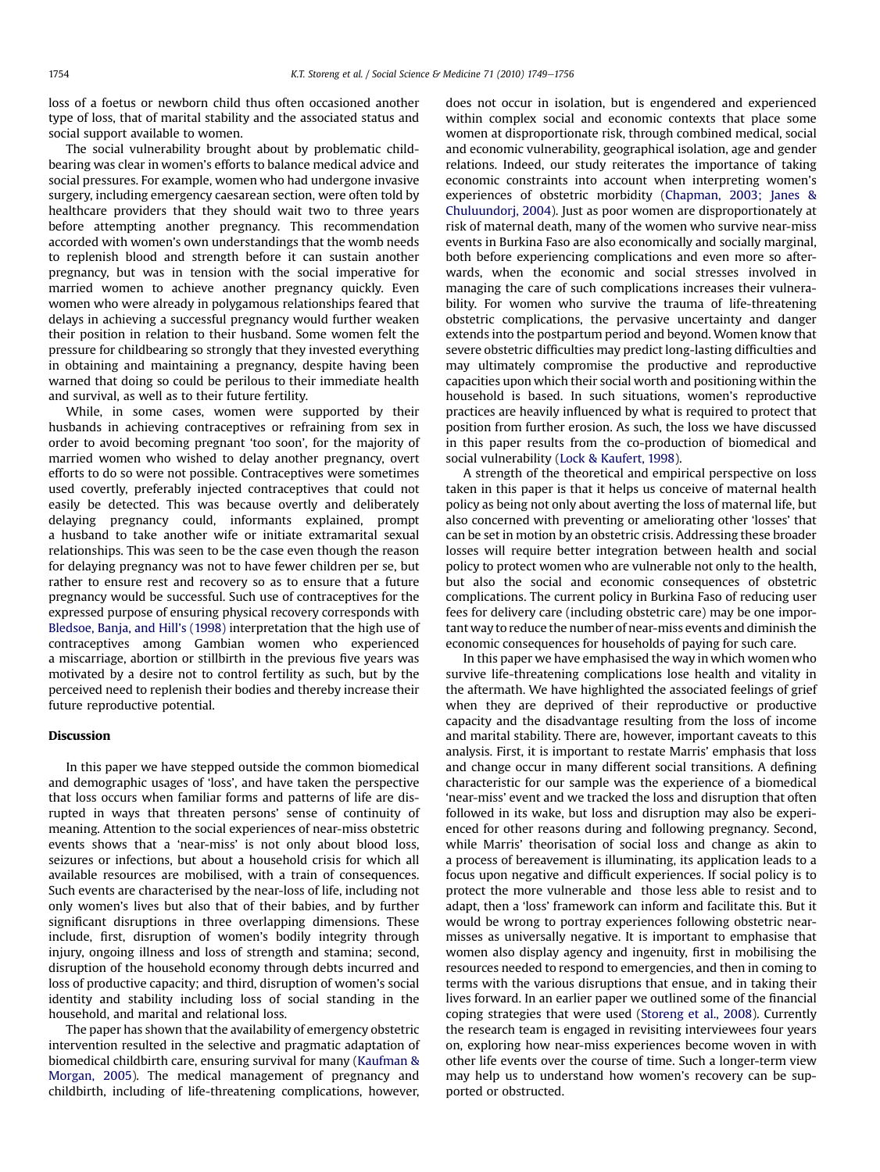loss of a foetus or newborn child thus often occasioned another type of loss, that of marital stability and the associated status and social support available to women.

The social vulnerability brought about by problematic childbearing was clear in women's efforts to balance medical advice and social pressures. For example, women who had undergone invasive surgery, including emergency caesarean section, were often told by healthcare providers that they should wait two to three years before attempting another pregnancy. This recommendation accorded with women's own understandings that the womb needs to replenish blood and strength before it can sustain another pregnancy, but was in tension with the social imperative for married women to achieve another pregnancy quickly. Even women who were already in polygamous relationships feared that delays in achieving a successful pregnancy would further weaken their position in relation to their husband. Some women felt the pressure for childbearing so strongly that they invested everything in obtaining and maintaining a pregnancy, despite having been warned that doing so could be perilous to their immediate health and survival, as well as to their future fertility.

While, in some cases, women were supported by their husbands in achieving contraceptives or refraining from sex in order to avoid becoming pregnant 'too soon', for the majority of married women who wished to delay another pregnancy, overt efforts to do so were not possible. Contraceptives were sometimes used covertly, preferably injected contraceptives that could not easily be detected. This was because overtly and deliberately delaying pregnancy could, informants explained, prompt a husband to take another wife or initiate extramarital sexual relationships. This was seen to be the case even though the reason for delaying pregnancy was not to have fewer children per se, but rather to ensure rest and recovery so as to ensure that a future pregnancy would be successful. Such use of contraceptives for the expressed purpose of ensuring physical recovery corresponds with [Bledsoe, Banja, and Hill](#page-6-0)'s (1998) interpretation that the high use of contraceptives among Gambian women who experienced a miscarriage, abortion or stillbirth in the previous five years was motivated by a desire not to control fertility as such, but by the perceived need to replenish their bodies and thereby increase their future reproductive potential.

# Discussion

In this paper we have stepped outside the common biomedical and demographic usages of 'loss', and have taken the perspective that loss occurs when familiar forms and patterns of life are disrupted in ways that threaten persons' sense of continuity of meaning. Attention to the social experiences of near-miss obstetric events shows that a 'near-miss' is not only about blood loss, seizures or infections, but about a household crisis for which all available resources are mobilised, with a train of consequences. Such events are characterised by the near-loss of life, including not only women's lives but also that of their babies, and by further significant disruptions in three overlapping dimensions. These include, first, disruption of women's bodily integrity through injury, ongoing illness and loss of strength and stamina; second, disruption of the household economy through debts incurred and loss of productive capacity; and third, disruption of women's social identity and stability including loss of social standing in the household, and marital and relational loss.

The paper has shown that the availability of emergency obstetric intervention resulted in the selective and pragmatic adaptation of biomedical childbirth care, ensuring survival for many [\(Kaufman &](#page-6-0) [Morgan, 2005](#page-6-0)). The medical management of pregnancy and childbirth, including of life-threatening complications, however, does not occur in isolation, but is engendered and experienced within complex social and economic contexts that place some women at disproportionate risk, through combined medical, social and economic vulnerability, geographical isolation, age and gender relations. Indeed, our study reiterates the importance of taking economic constraints into account when interpreting women's experiences of obstetric morbidity [\(Chapman, 2003; Janes &](#page-6-0) [Chuluundorj, 2004](#page-6-0)). Just as poor women are disproportionately at risk of maternal death, many of the women who survive near-miss events in Burkina Faso are also economically and socially marginal, both before experiencing complications and even more so afterwards, when the economic and social stresses involved in managing the care of such complications increases their vulnerability. For women who survive the trauma of life-threatening obstetric complications, the pervasive uncertainty and danger extends into the postpartum period and beyond. Women know that severe obstetric difficulties may predict long-lasting difficulties and may ultimately compromise the productive and reproductive capacities upon which their social worth and positioning within the household is based. In such situations, women's reproductive practices are heavily influenced by what is required to protect that position from further erosion. As such, the loss we have discussed in this paper results from the co-production of biomedical and social vulnerability [\(Lock & Kaufert, 1998\)](#page-6-0).

A strength of the theoretical and empirical perspective on loss taken in this paper is that it helps us conceive of maternal health policy as being not only about averting the loss of maternal life, but also concerned with preventing or ameliorating other 'losses' that can be set in motion by an obstetric crisis. Addressing these broader losses will require better integration between health and social policy to protect women who are vulnerable not only to the health, but also the social and economic consequences of obstetric complications. The current policy in Burkina Faso of reducing user fees for delivery care (including obstetric care) may be one important way to reduce the number of near-miss events and diminish the economic consequences for households of paying for such care.

In this paper we have emphasised the way in which women who survive life-threatening complications lose health and vitality in the aftermath. We have highlighted the associated feelings of grief when they are deprived of their reproductive or productive capacity and the disadvantage resulting from the loss of income and marital stability. There are, however, important caveats to this analysis. First, it is important to restate Marris' emphasis that loss and change occur in many different social transitions. A defining characteristic for our sample was the experience of a biomedical 'near-miss' event and we tracked the loss and disruption that often followed in its wake, but loss and disruption may also be experienced for other reasons during and following pregnancy. Second, while Marris' theorisation of social loss and change as akin to a process of bereavement is illuminating, its application leads to a focus upon negative and difficult experiences. If social policy is to protect the more vulnerable and those less able to resist and to adapt, then a 'loss' framework can inform and facilitate this. But it would be wrong to portray experiences following obstetric nearmisses as universally negative. It is important to emphasise that women also display agency and ingenuity, first in mobilising the resources needed to respond to emergencies, and then in coming to terms with the various disruptions that ensue, and in taking their lives forward. In an earlier paper we outlined some of the financial coping strategies that were used [\(Storeng et al., 2008](#page-7-0)). Currently the research team is engaged in revisiting interviewees four years on, exploring how near-miss experiences become woven in with other life events over the course of time. Such a longer-term view may help us to understand how women's recovery can be supported or obstructed.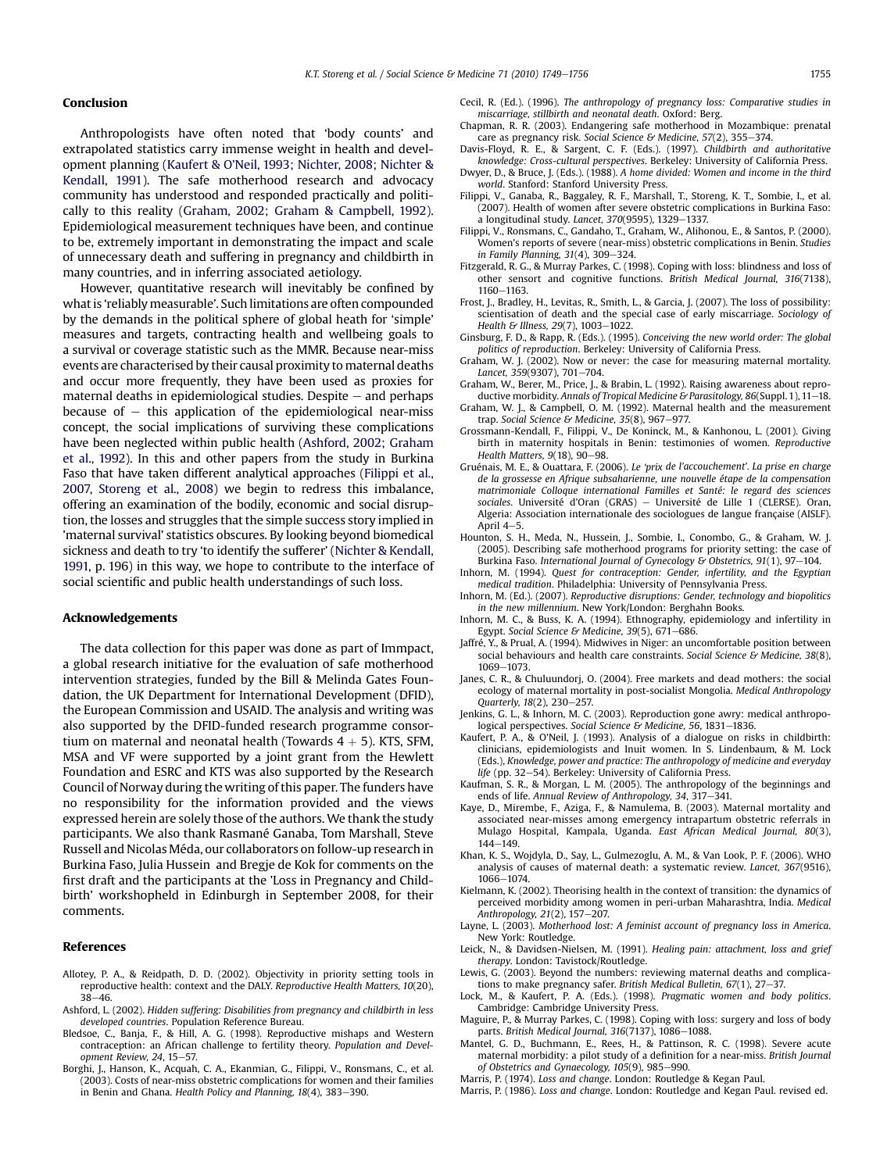# <span id="page-6-0"></span>Conclusion

Anthropologists have often noted that 'body counts' and extrapolated statistics carry immense weight in health and development planning (Kaufert & O'Neil, 1993; Nichter, 2008; Nichter & Kendall, 1991). The safe motherhood research and advocacy community has understood and responded practically and politically to this reality (Graham, 2002; Graham & Campbell, 1992). Epidemiological measurement techniques have been, and continue to be, extremely important in demonstrating the impact and scale of unnecessary death and suffering in pregnancy and childbirth in many countries, and in inferring associated aetiology.

However, quantitative research will inevitably be confined by what is 'reliably measurable'. Such limitations are often compounded by the demands in the political sphere of global heath for 'simple' measures and targets, contracting health and wellbeing goals to a survival or coverage statistic such as the MMR. Because near-miss events are characterised by their causal proximity to maternal deaths and occur more frequently, they have been used as proxies for maternal deaths in epidemiological studies. Despite  $-$  and perhaps because of  $-$  this application of the epidemiological near-miss concept, the social implications of surviving these complications have been neglected within public health (Ashford, 2002; Graham et al., 1992). In this and other papers from the study in Burkina Faso that have taken different analytical approaches (Filippi et al., 2007, Storeng et al., 2008) we begin to redress this imbalance, offering an examination of the bodily, economic and social disruption, the losses and struggles that the simple success story implied in 'maternal survival' statistics obscures. By looking beyond biomedical sickness and death to try 'to identify the sufferer' ([Nichter & Kendall,](#page-7-0) [1991,](#page-7-0) p. 196) in this way, we hope to contribute to the interface of social scientific and public health understandings of such loss.

#### Acknowledgements

The data collection for this paper was done as part of Immpact, a global research initiative for the evaluation of safe motherhood intervention strategies, funded by the Bill & Melinda Gates Foundation, the UK Department for International Development (DFID), the European Commission and USAID. The analysis and writing was also supported by the DFID-funded research programme consortium on maternal and neonatal health (Towards  $4 + 5$ ). KTS, SFM, MSA and VF were supported by a joint grant from the Hewlett Foundation and ESRC and KTS was also supported by the Research Council of Norway during the writing of this paper. The funders have no responsibility for the information provided and the views expressed herein are solely those of the authors. We thank the study participants. We also thank Rasmané Ganaba, Tom Marshall, Steve Russell and Nicolas Méda, our collaborators on follow-up research in Burkina Faso, Julia Hussein and Bregje de Kok for comments on the first draft and the participants at the 'Loss in Pregnancy and Childbirth' workshopheld in Edinburgh in September 2008, for their comments.

#### References

- Allotey, P. A., & Reidpath, D. D. (2002). Objectivity in priority setting tools in reproductive health: context and the DALY. Reproductive Health Matters, 10(20),  $38 - 46$
- Ashford, L. (2002). Hidden suffering: Disabilities from pregnancy and childbirth in less developed countries. Population Reference Bureau.
- Bledsoe, C., Banja, F., & Hill, A. G. (1998). Reproductive mishaps and Western contraception: an African challenge to fertility theory. Population and Development Review, 24, 15-57.
- Borghi, J., Hanson, K., Acquah, C. A., Ekanmian, G., Filippi, V., Ronsmans, C., et al. (2003). Costs of near-miss obstetric complications for women and their families in Benin and Ghana. Health Policy and Planning, 18(4), 383-390.
- Cecil, R. (Ed.). (1996). The anthropology of pregnancy loss: Comparative studies in miscarriage, stillbirth and neonatal death. Oxford: Berg.
- Chapman, R. R. (2003). Endangering safe motherhood in Mozambique: prenatal care as pregnancy risk. Social Science & Medicine,  $57(2)$ ,  $355-374$ .
- Davis-Floyd, R. E., & Sargent, C. F. (Eds.). (1997). Childbirth and authoritative knowledge: Cross-cultural perspectives. Berkeley: University of California Press. Dwyer, D., & Bruce, J. (Eds.). (1988). A home divided: Women and income in the third
- world. Stanford: Stanford University Press. Filippi, V., Ganaba, R., Baggaley, R. F., Marshall, T., Storeng, K. T., Sombie, I., et al.
- (2007). Health of women after severe obstetric complications in Burkina Faso: a longitudinal study. Lancet, 370(9595), 1329-1337.
- Filippi, V., Ronsmans, C., Gandaho, T., Graham, W., Alihonou, E., & Santos, P. (2000). Women's reports of severe (near-miss) obstetric complications in Benin. Studies in Family Planning,  $31(4)$ ,  $309-324$ .
- Fitzgerald, R. G., & Murray Parkes, C. (1998). Coping with loss: blindness and loss of other sensort and cognitive functions. British Medical Journal, 316(7138), 1160-1163
- Frost, J., Bradley, H., Levitas, R., Smith, L., & Garcia, J. (2007). The loss of possibility: scientisation of death and the special case of early miscarriage. Sociology of Health & Illness, 29(7), 1003-1022.
- Ginsburg, F. D., & Rapp, R. (Eds.). (1995). Conceiving the new world order: The global politics of reproduction. Berkeley: University of California Press.
- Graham, W. J. (2002). Now or never: the case for measuring maternal mortality. Lancet, 359(9307), 701-704.
- Graham, W., Berer, M., Price, J., & Brabin, L. (1992). Raising awareness about reproductive morbidity. Annals of Tropical Medicine & Parasitology, 86(Suppl. 1), 11-18.
- Graham, W. J., & Campbell, O. M. (1992). Maternal health and the measurement trap. Social Science & Medicine, 35(8), 967-977.
- Grossmann-Kendall, F., Filippi, V., De Koninck, M., & Kanhonou, L. (2001). Giving birth in maternity hospitals in Benin: testimonies of women. Reproductive Health Matters,  $9(18)$ ,  $90-98$ .
- Gruénais, M. E., & Ouattara, F. (2006). Le 'prix de l'accouchement'. La prise en charge de la grossesse en Afrique subsaharienne, une nouvelle étape de la compensation matrimoniale Colloque international Familles et Santé: le regard des sciences sociales. Université d'Oran (GRAS) - Université de Lille 1 (CLERSE). Oran, Algeria: Association internationale des sociologues de langue française (AISLF). April 4-5
- Hounton, S. H., Meda, N., Hussein, J., Sombie, I., Conombo, G., & Graham, W. J. (2005). Describing safe motherhood programs for priority setting: the case of Burkina Faso. International Journal of Gynecology & Obstetrics, 91(1), 97-104.
- Inhorn, M. (1994). Quest for contraception: Gender, infertility, and the Egyptian medical tradition. Philadelphia: University of Pennsylvania Press.
- Inhorn, M. (Ed.). (2007). Reproductive disruptions: Gender, technology and biopolitics in the new millennium. New York/London: Berghahn Books.
- Inhorn, M. C., & Buss, K. A. (1994). Ethnography, epidemiology and infertility in Egypt. Social Science & Medicine, 39(5), 671-686.
- Jaffré, Y., & Prual, A. (1994). Midwives in Niger: an uncomfortable position between social behaviours and health care constraints. Social Science & Medicine, 38(8), 1069-1073
- Janes, C. R., & Chuluundorj, O. (2004). Free markets and dead mothers: the social ecology of maternal mortality in post-socialist Mongolia. Medical Anthropology Ouarterly, 18(2), 230-257.
- Jenkins, G. L., & Inhorn, M. C. (2003). Reproduction gone awry: medical anthropological perspectives. Social Science & Medicine, 56, 1831-1836.
- Kaufert, P. A., & O'Neil, J. (1993). Analysis of a dialogue on risks in childbirth: clinicians, epidemiologists and Inuit women. In S. Lindenbaum, & M. Lock (Eds.), Knowledge, power and practice: The anthropology of medicine and everyday life (pp. 32-54). Berkeley: University of California Press.
- Kaufman, S. R., & Morgan, L. M. (2005). The anthropology of the beginnings and ends of life. Annual Review of Anthropology, 34, 317-341.
- Kaye, D., Mirembe, F., Aziga, F., & Namulema, B. (2003). Maternal mortality and associated near-misses among emergency intrapartum obstetric referrals in Mulago Hospital, Kampala, Uganda. East African Medical Journal, 80(3), 144-149.
- Khan, K. S., Wojdyla, D., Say, L., Gulmezoglu, A. M., & Van Look, P. F. (2006). WHO analysis of causes of maternal death: a systematic review. Lancet, 367(9516), 1066-1074.
- Kielmann, K. (2002). Theorising health in the context of transition: the dynamics of perceived morbidity among women in peri-urban Maharashtra, India. Medical Anthropology, 21(2), 157-207.
- Layne, L. (2003). Motherhood lost: A feminist account of pregnancy loss in America. New York: Routledge.
- Leick, N., & Davidsen-Nielsen, M. (1991). Healing pain: attachment, loss and grief therapy. London: Tavistock/Routledge.
- Lewis, G. (2003). Beyond the numbers: reviewing maternal deaths and complications to make pregnancy safer. British Medical Bulletin,  $67(1)$ ,  $27-37$ .
- Lock, M., & Kaufert, P. A. (Eds.). (1998). Pragmatic women and body politics. Cambridge: Cambridge University Press.
- Maguire, P., & Murray Parkes, C. (1998). Coping with loss: surgery and loss of body parts. British Medical Journal, 316(7137), 1086-1088.
- Mantel, G. D., Buchmann, E., Rees, H., & Pattinson, R. C. (1998). Severe acute maternal morbidity: a pilot study of a definition for a near-miss. British Journal of Obstetrics and Gynaecology, 105(9), 985-990.
- Marris, P. (1974). Loss and change. London: Routledge & Kegan Paul.
- Marris, P. (1986). Loss and change. London: Routledge and Kegan Paul. revised ed.